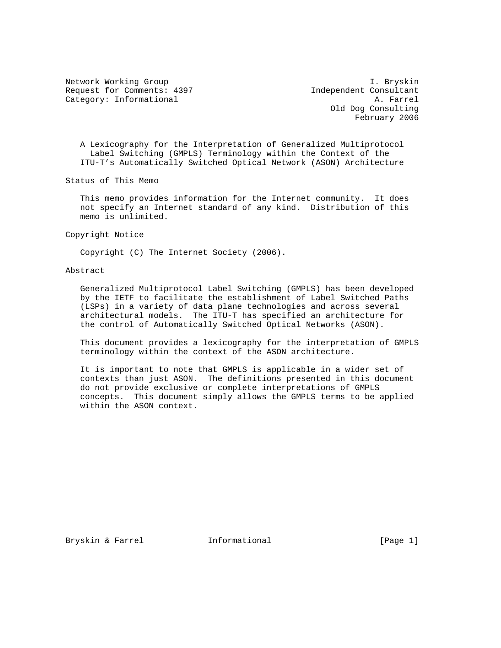Network Working Group and the settlement of the settlement of the settlement of the settlement of the settlement of the settlement of the settlement of the settlement of the settlement of the settlement of the settlement o Request for Comments: 4397 1ndependent Consultant Category: Informational A. Farrel

 Old Dog Consulting February 2006

 A Lexicography for the Interpretation of Generalized Multiprotocol Label Switching (GMPLS) Terminology within the Context of the ITU-T's Automatically Switched Optical Network (ASON) Architecture

Status of This Memo

 This memo provides information for the Internet community. It does not specify an Internet standard of any kind. Distribution of this memo is unlimited.

Copyright Notice

Copyright (C) The Internet Society (2006).

#### Abstract

 Generalized Multiprotocol Label Switching (GMPLS) has been developed by the IETF to facilitate the establishment of Label Switched Paths (LSPs) in a variety of data plane technologies and across several architectural models. The ITU-T has specified an architecture for the control of Automatically Switched Optical Networks (ASON).

 This document provides a lexicography for the interpretation of GMPLS terminology within the context of the ASON architecture.

 It is important to note that GMPLS is applicable in a wider set of contexts than just ASON. The definitions presented in this document do not provide exclusive or complete interpretations of GMPLS concepts. This document simply allows the GMPLS terms to be applied within the ASON context.

Bryskin & Farrel **Informational** [Page 1]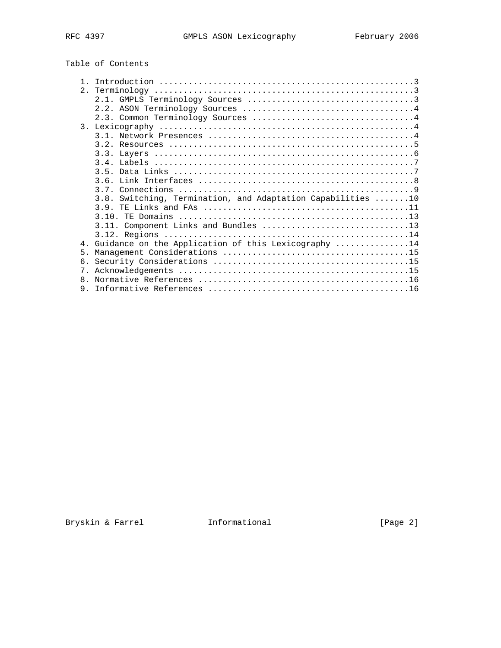# Table of Contents

| 2.             |                                                             |
|----------------|-------------------------------------------------------------|
|                |                                                             |
|                |                                                             |
|                |                                                             |
|                |                                                             |
|                |                                                             |
|                |                                                             |
|                |                                                             |
|                |                                                             |
|                |                                                             |
|                |                                                             |
|                |                                                             |
|                | 3.8. Switching, Termination, and Adaptation Capabilities 10 |
|                |                                                             |
|                |                                                             |
|                |                                                             |
|                |                                                             |
|                | 4. Guidance on the Application of this Lexicography 14      |
| 5 <sub>1</sub> |                                                             |
| 6.             |                                                             |
|                |                                                             |
|                |                                                             |
|                |                                                             |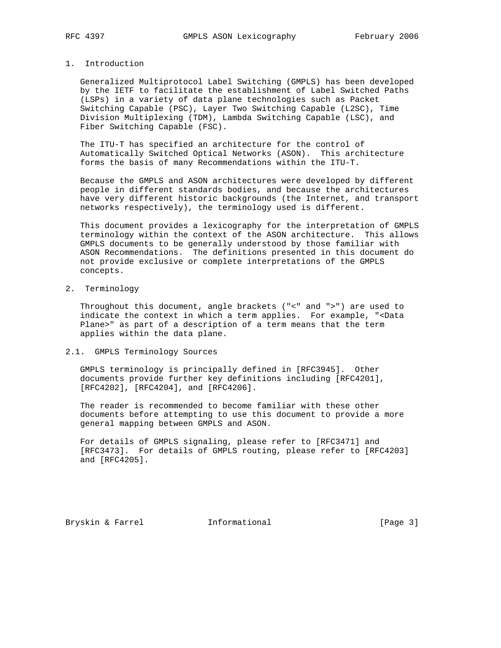# 1. Introduction

 Generalized Multiprotocol Label Switching (GMPLS) has been developed by the IETF to facilitate the establishment of Label Switched Paths (LSPs) in a variety of data plane technologies such as Packet Switching Capable (PSC), Layer Two Switching Capable (L2SC), Time Division Multiplexing (TDM), Lambda Switching Capable (LSC), and Fiber Switching Capable (FSC).

 The ITU-T has specified an architecture for the control of Automatically Switched Optical Networks (ASON). This architecture forms the basis of many Recommendations within the ITU-T.

 Because the GMPLS and ASON architectures were developed by different people in different standards bodies, and because the architectures have very different historic backgrounds (the Internet, and transport networks respectively), the terminology used is different.

 This document provides a lexicography for the interpretation of GMPLS terminology within the context of the ASON architecture. This allows GMPLS documents to be generally understood by those familiar with ASON Recommendations. The definitions presented in this document do not provide exclusive or complete interpretations of the GMPLS concepts.

2. Terminology

 Throughout this document, angle brackets ("<" and ">") are used to indicate the context in which a term applies. For example, "<Data Plane>" as part of a description of a term means that the term applies within the data plane.

#### 2.1. GMPLS Terminology Sources

 GMPLS terminology is principally defined in [RFC3945]. Other documents provide further key definitions including [RFC4201], [RFC4202], [RFC4204], and [RFC4206].

 The reader is recommended to become familiar with these other documents before attempting to use this document to provide a more general mapping between GMPLS and ASON.

 For details of GMPLS signaling, please refer to [RFC3471] and [RFC3473]. For details of GMPLS routing, please refer to [RFC4203] and [RFC4205].

Bryskin & Farrel **Informational** [Page 3]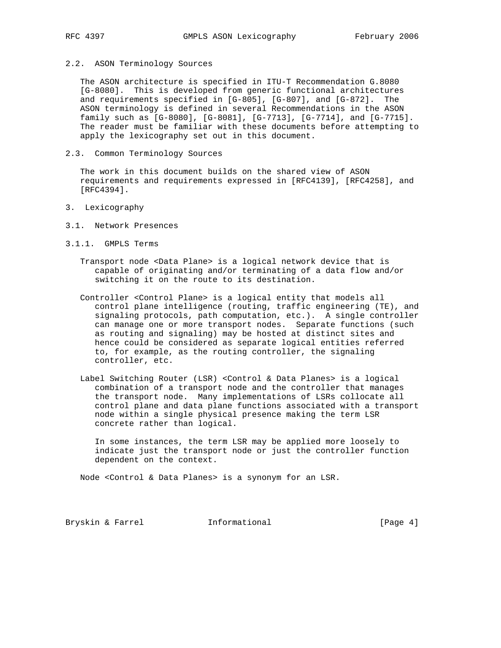2.2. ASON Terminology Sources

 The ASON architecture is specified in ITU-T Recommendation G.8080 [G-8080]. This is developed from generic functional architectures and requirements specified in [G-805], [G-807], and [G-872]. The ASON terminology is defined in several Recommendations in the ASON family such as [G-8080], [G-8081], [G-7713], [G-7714], and [G-7715]. The reader must be familiar with these documents before attempting to apply the lexicography set out in this document.

2.3. Common Terminology Sources

 The work in this document builds on the shared view of ASON requirements and requirements expressed in [RFC4139], [RFC4258], and [RFC4394].

- 3. Lexicography
- 3.1. Network Presences
- 3.1.1. GMPLS Terms
	- Transport node <Data Plane> is a logical network device that is capable of originating and/or terminating of a data flow and/or switching it on the route to its destination.
	- Controller <Control Plane> is a logical entity that models all control plane intelligence (routing, traffic engineering (TE), and signaling protocols, path computation, etc.). A single controller can manage one or more transport nodes. Separate functions (such as routing and signaling) may be hosted at distinct sites and hence could be considered as separate logical entities referred to, for example, as the routing controller, the signaling controller, etc.
	- Label Switching Router (LSR) <Control & Data Planes> is a logical combination of a transport node and the controller that manages the transport node. Many implementations of LSRs collocate all control plane and data plane functions associated with a transport node within a single physical presence making the term LSR concrete rather than logical.

 In some instances, the term LSR may be applied more loosely to indicate just the transport node or just the controller function dependent on the context.

Node <Control & Data Planes> is a synonym for an LSR.

Bryskin & Farrel **Informational** [Page 4]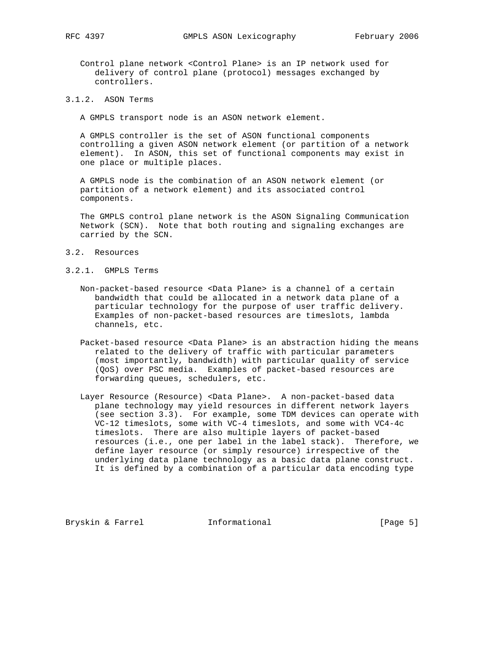Control plane network <Control Plane> is an IP network used for delivery of control plane (protocol) messages exchanged by controllers.

3.1.2. ASON Terms

A GMPLS transport node is an ASON network element.

 A GMPLS controller is the set of ASON functional components controlling a given ASON network element (or partition of a network element). In ASON, this set of functional components may exist in one place or multiple places.

 A GMPLS node is the combination of an ASON network element (or partition of a network element) and its associated control components.

 The GMPLS control plane network is the ASON Signaling Communication Network (SCN). Note that both routing and signaling exchanges are carried by the SCN.

#### 3.2. Resources

- 3.2.1. GMPLS Terms
	- Non-packet-based resource <Data Plane> is a channel of a certain bandwidth that could be allocated in a network data plane of a particular technology for the purpose of user traffic delivery. Examples of non-packet-based resources are timeslots, lambda channels, etc.
	- Packet-based resource <Data Plane> is an abstraction hiding the means related to the delivery of traffic with particular parameters (most importantly, bandwidth) with particular quality of service (QoS) over PSC media. Examples of packet-based resources are forwarding queues, schedulers, etc.
	- Layer Resource (Resource) <Data Plane>. A non-packet-based data plane technology may yield resources in different network layers (see section 3.3). For example, some TDM devices can operate with VC-12 timeslots, some with VC-4 timeslots, and some with VC4-4c timeslots. There are also multiple layers of packet-based resources (i.e., one per label in the label stack). Therefore, we define layer resource (or simply resource) irrespective of the underlying data plane technology as a basic data plane construct. It is defined by a combination of a particular data encoding type

Bryskin & Farrel **Informational** [Page 5]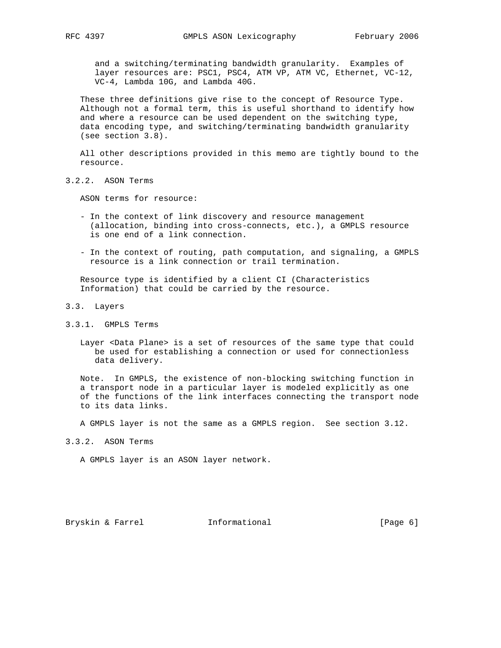and a switching/terminating bandwidth granularity. Examples of layer resources are: PSC1, PSC4, ATM VP, ATM VC, Ethernet, VC-12, VC-4, Lambda 10G, and Lambda 40G.

 These three definitions give rise to the concept of Resource Type. Although not a formal term, this is useful shorthand to identify how and where a resource can be used dependent on the switching type, data encoding type, and switching/terminating bandwidth granularity (see section 3.8).

 All other descriptions provided in this memo are tightly bound to the resource.

3.2.2. ASON Terms

ASON terms for resource:

- In the context of link discovery and resource management (allocation, binding into cross-connects, etc.), a GMPLS resource is one end of a link connection.
- In the context of routing, path computation, and signaling, a GMPLS resource is a link connection or trail termination.

 Resource type is identified by a client CI (Characteristics Information) that could be carried by the resource.

- 3.3. Layers
- 3.3.1. GMPLS Terms
	- Layer <Data Plane> is a set of resources of the same type that could be used for establishing a connection or used for connectionless data delivery.

 Note. In GMPLS, the existence of non-blocking switching function in a transport node in a particular layer is modeled explicitly as one of the functions of the link interfaces connecting the transport node to its data links.

A GMPLS layer is not the same as a GMPLS region. See section 3.12.

3.3.2. ASON Terms

A GMPLS layer is an ASON layer network.

Bryskin & Farrel **Informational** [Page 6]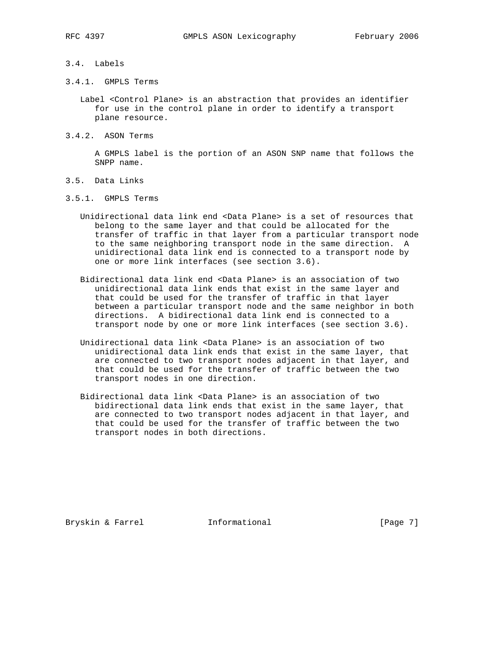## 3.4. Labels

3.4.1. GMPLS Terms

 Label <Control Plane> is an abstraction that provides an identifier for use in the control plane in order to identify a transport plane resource.

3.4.2. ASON Terms

 A GMPLS label is the portion of an ASON SNP name that follows the SNPP name.

- 3.5. Data Links
- 3.5.1. GMPLS Terms
	- Unidirectional data link end <Data Plane> is a set of resources that belong to the same layer and that could be allocated for the transfer of traffic in that layer from a particular transport node to the same neighboring transport node in the same direction. A unidirectional data link end is connected to a transport node by one or more link interfaces (see section 3.6).
	- Bidirectional data link end <Data Plane> is an association of two unidirectional data link ends that exist in the same layer and that could be used for the transfer of traffic in that layer between a particular transport node and the same neighbor in both directions. A bidirectional data link end is connected to a transport node by one or more link interfaces (see section 3.6).
	- Unidirectional data link <Data Plane> is an association of two unidirectional data link ends that exist in the same layer, that are connected to two transport nodes adjacent in that layer, and that could be used for the transfer of traffic between the two transport nodes in one direction.
	- Bidirectional data link <Data Plane> is an association of two bidirectional data link ends that exist in the same layer, that are connected to two transport nodes adjacent in that layer, and that could be used for the transfer of traffic between the two transport nodes in both directions.

Bryskin & Farrel **Informational** [Page 7]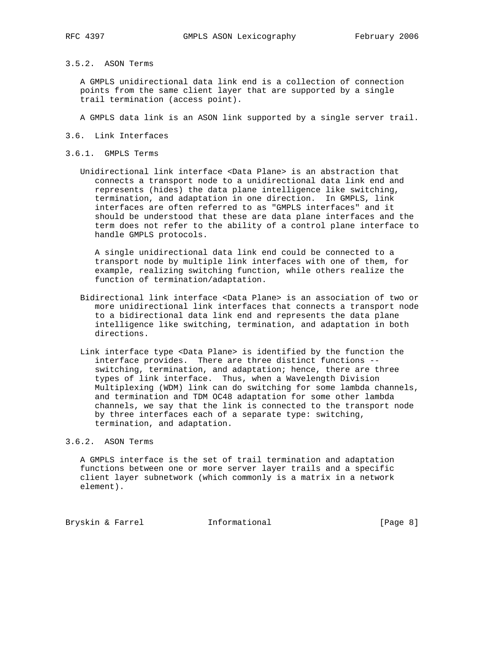# 3.5.2. ASON Terms

 A GMPLS unidirectional data link end is a collection of connection points from the same client layer that are supported by a single trail termination (access point).

A GMPLS data link is an ASON link supported by a single server trail.

- 3.6. Link Interfaces
- 3.6.1. GMPLS Terms
	- Unidirectional link interface <Data Plane> is an abstraction that connects a transport node to a unidirectional data link end and represents (hides) the data plane intelligence like switching, termination, and adaptation in one direction. In GMPLS, link interfaces are often referred to as "GMPLS interfaces" and it should be understood that these are data plane interfaces and the term does not refer to the ability of a control plane interface to handle GMPLS protocols.

 A single unidirectional data link end could be connected to a transport node by multiple link interfaces with one of them, for example, realizing switching function, while others realize the function of termination/adaptation.

- Bidirectional link interface <Data Plane> is an association of two or more unidirectional link interfaces that connects a transport node to a bidirectional data link end and represents the data plane intelligence like switching, termination, and adaptation in both directions.
- Link interface type <Data Plane> is identified by the function the interface provides. There are three distinct functions - switching, termination, and adaptation; hence, there are three types of link interface. Thus, when a Wavelength Division Multiplexing (WDM) link can do switching for some lambda channels, and termination and TDM OC48 adaptation for some other lambda channels, we say that the link is connected to the transport node by three interfaces each of a separate type: switching, termination, and adaptation.

## 3.6.2. ASON Terms

 A GMPLS interface is the set of trail termination and adaptation functions between one or more server layer trails and a specific client layer subnetwork (which commonly is a matrix in a network element).

Bryskin & Farrel **Informational** [Page 8]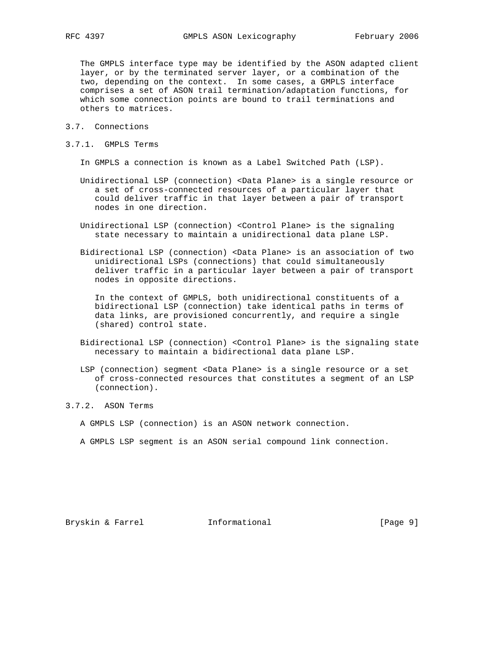The GMPLS interface type may be identified by the ASON adapted client layer, or by the terminated server layer, or a combination of the two, depending on the context. In some cases, a GMPLS interface comprises a set of ASON trail termination/adaptation functions, for which some connection points are bound to trail terminations and others to matrices.

- 3.7. Connections
- 3.7.1. GMPLS Terms

In GMPLS a connection is known as a Label Switched Path (LSP).

- Unidirectional LSP (connection) <Data Plane> is a single resource or a set of cross-connected resources of a particular layer that could deliver traffic in that layer between a pair of transport nodes in one direction.
- Unidirectional LSP (connection) <Control Plane> is the signaling state necessary to maintain a unidirectional data plane LSP.
- Bidirectional LSP (connection) <Data Plane> is an association of two unidirectional LSPs (connections) that could simultaneously deliver traffic in a particular layer between a pair of transport nodes in opposite directions.

 In the context of GMPLS, both unidirectional constituents of a bidirectional LSP (connection) take identical paths in terms of data links, are provisioned concurrently, and require a single (shared) control state.

- Bidirectional LSP (connection) <Control Plane> is the signaling state necessary to maintain a bidirectional data plane LSP.
- LSP (connection) segment <Data Plane> is a single resource or a set of cross-connected resources that constitutes a segment of an LSP (connection).

## 3.7.2. ASON Terms

- A GMPLS LSP (connection) is an ASON network connection.
- A GMPLS LSP segment is an ASON serial compound link connection.

Bryskin & Farrel **Informational** [Page 9]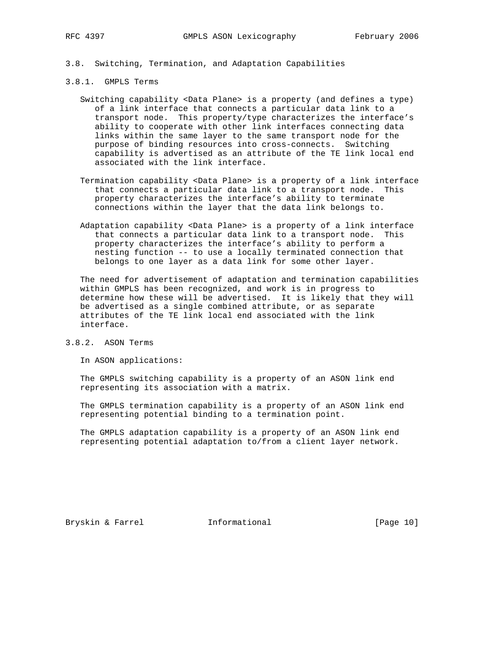- 3.8. Switching, Termination, and Adaptation Capabilities
- 3.8.1. GMPLS Terms
	- Switching capability <Data Plane> is a property (and defines a type) of a link interface that connects a particular data link to a transport node. This property/type characterizes the interface's ability to cooperate with other link interfaces connecting data links within the same layer to the same transport node for the purpose of binding resources into cross-connects. Switching capability is advertised as an attribute of the TE link local end associated with the link interface.
	- Termination capability <Data Plane> is a property of a link interface that connects a particular data link to a transport node. This property characterizes the interface's ability to terminate connections within the layer that the data link belongs to.
	- Adaptation capability <Data Plane> is a property of a link interface that connects a particular data link to a transport node. This property characterizes the interface's ability to perform a nesting function -- to use a locally terminated connection that belongs to one layer as a data link for some other layer.

 The need for advertisement of adaptation and termination capabilities within GMPLS has been recognized, and work is in progress to determine how these will be advertised. It is likely that they will be advertised as a single combined attribute, or as separate attributes of the TE link local end associated with the link interface.

## 3.8.2. ASON Terms

In ASON applications:

 The GMPLS switching capability is a property of an ASON link end representing its association with a matrix.

 The GMPLS termination capability is a property of an ASON link end representing potential binding to a termination point.

 The GMPLS adaptation capability is a property of an ASON link end representing potential adaptation to/from a client layer network.

Bryskin & Farrel **Informational** [Page 10]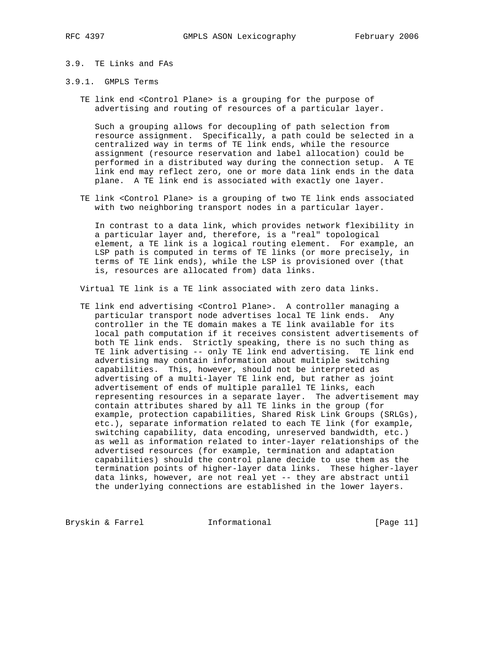# 3.9. TE Links and FAs

#### 3.9.1. GMPLS Terms

 TE link end <Control Plane> is a grouping for the purpose of advertising and routing of resources of a particular layer.

 Such a grouping allows for decoupling of path selection from resource assignment. Specifically, a path could be selected in a centralized way in terms of TE link ends, while the resource assignment (resource reservation and label allocation) could be performed in a distributed way during the connection setup. A TE link end may reflect zero, one or more data link ends in the data plane. A TE link end is associated with exactly one layer.

 TE link <Control Plane> is a grouping of two TE link ends associated with two neighboring transport nodes in a particular layer.

 In contrast to a data link, which provides network flexibility in a particular layer and, therefore, is a "real" topological element, a TE link is a logical routing element. For example, an LSP path is computed in terms of TE links (or more precisely, in terms of TE link ends), while the LSP is provisioned over (that is, resources are allocated from) data links.

Virtual TE link is a TE link associated with zero data links.

 TE link end advertising <Control Plane>. A controller managing a particular transport node advertises local TE link ends. Any controller in the TE domain makes a TE link available for its local path computation if it receives consistent advertisements of both TE link ends. Strictly speaking, there is no such thing as TE link advertising -- only TE link end advertising. TE link end advertising may contain information about multiple switching capabilities. This, however, should not be interpreted as advertising of a multi-layer TE link end, but rather as joint advertisement of ends of multiple parallel TE links, each representing resources in a separate layer. The advertisement may contain attributes shared by all TE links in the group (for example, protection capabilities, Shared Risk Link Groups (SRLGs), etc.), separate information related to each TE link (for example, switching capability, data encoding, unreserved bandwidth, etc.) as well as information related to inter-layer relationships of the advertised resources (for example, termination and adaptation capabilities) should the control plane decide to use them as the termination points of higher-layer data links. These higher-layer data links, however, are not real yet -- they are abstract until the underlying connections are established in the lower layers.

Bryskin & Farrel **Informational** [Page 11]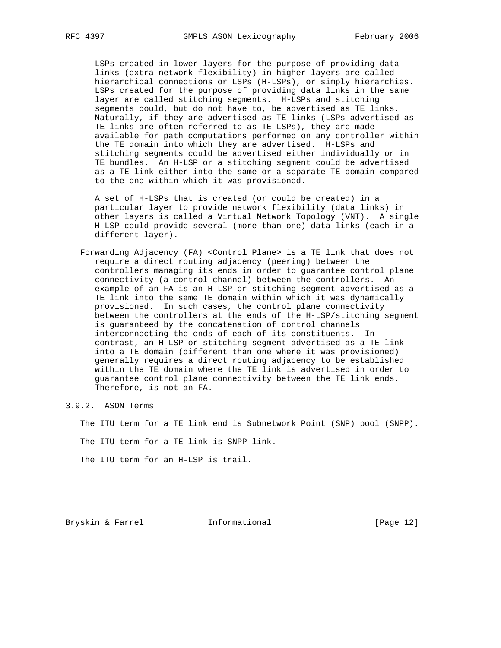LSPs created in lower layers for the purpose of providing data links (extra network flexibility) in higher layers are called hierarchical connections or LSPs (H-LSPs), or simply hierarchies. LSPs created for the purpose of providing data links in the same layer are called stitching segments. H-LSPs and stitching segments could, but do not have to, be advertised as TE links. Naturally, if they are advertised as TE links (LSPs advertised as TE links are often referred to as TE-LSPs), they are made available for path computations performed on any controller within the TE domain into which they are advertised. H-LSPs and stitching segments could be advertised either individually or in TE bundles. An H-LSP or a stitching segment could be advertised as a TE link either into the same or a separate TE domain compared to the one within which it was provisioned.

 A set of H-LSPs that is created (or could be created) in a particular layer to provide network flexibility (data links) in other layers is called a Virtual Network Topology (VNT). A single H-LSP could provide several (more than one) data links (each in a different layer).

 Forwarding Adjacency (FA) <Control Plane> is a TE link that does not require a direct routing adjacency (peering) between the controllers managing its ends in order to guarantee control plane connectivity (a control channel) between the controllers. An example of an FA is an H-LSP or stitching segment advertised as a TE link into the same TE domain within which it was dynamically provisioned. In such cases, the control plane connectivity between the controllers at the ends of the H-LSP/stitching segment is guaranteed by the concatenation of control channels interconnecting the ends of each of its constituents. In contrast, an H-LSP or stitching segment advertised as a TE link into a TE domain (different than one where it was provisioned) generally requires a direct routing adjacency to be established within the TE domain where the TE link is advertised in order to guarantee control plane connectivity between the TE link ends. Therefore, is not an FA.

## 3.9.2. ASON Terms

 The ITU term for a TE link end is Subnetwork Point (SNP) pool (SNPP). The ITU term for a TE link is SNPP link. The ITU term for an H-LSP is trail.

Bryskin & Farrel **Informational** [Page 12]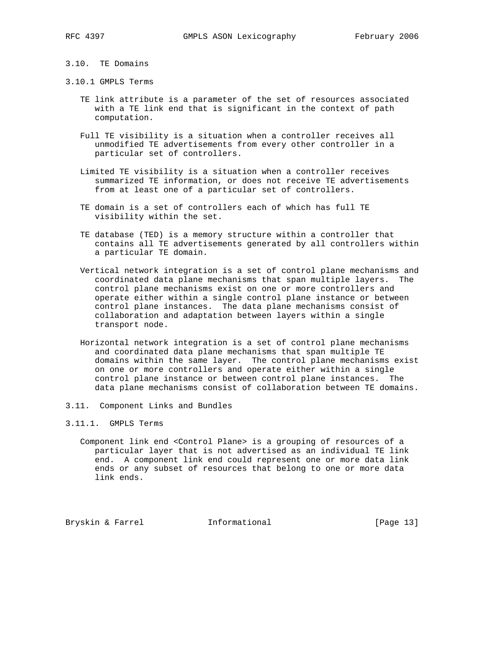# 3.10. TE Domains

- 3.10.1 GMPLS Terms
	- TE link attribute is a parameter of the set of resources associated with a TE link end that is significant in the context of path computation.
	- Full TE visibility is a situation when a controller receives all unmodified TE advertisements from every other controller in a particular set of controllers.
	- Limited TE visibility is a situation when a controller receives summarized TE information, or does not receive TE advertisements from at least one of a particular set of controllers.
	- TE domain is a set of controllers each of which has full TE visibility within the set.
	- TE database (TED) is a memory structure within a controller that contains all TE advertisements generated by all controllers within a particular TE domain.
	- Vertical network integration is a set of control plane mechanisms and coordinated data plane mechanisms that span multiple layers. The control plane mechanisms exist on one or more controllers and operate either within a single control plane instance or between control plane instances. The data plane mechanisms consist of collaboration and adaptation between layers within a single transport node.
	- Horizontal network integration is a set of control plane mechanisms and coordinated data plane mechanisms that span multiple TE domains within the same layer. The control plane mechanisms exist on one or more controllers and operate either within a single control plane instance or between control plane instances. The data plane mechanisms consist of collaboration between TE domains.
- 3.11. Component Links and Bundles
- 3.11.1. GMPLS Terms
	- Component link end <Control Plane> is a grouping of resources of a particular layer that is not advertised as an individual TE link end. A component link end could represent one or more data link ends or any subset of resources that belong to one or more data link ends.

Bryskin & Farrel **Informational** [Page 13]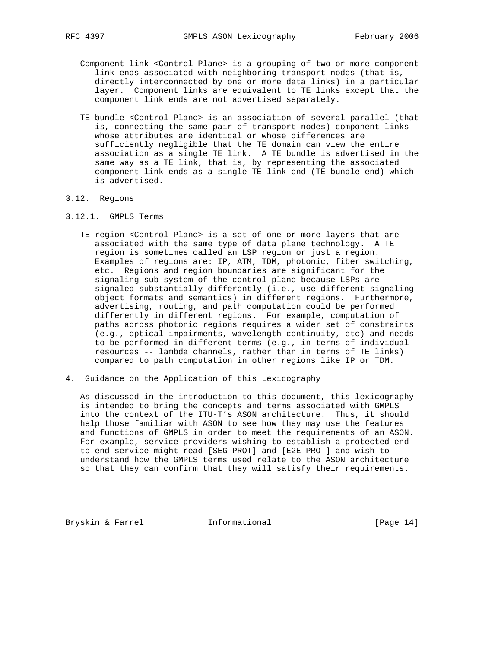- Component link <Control Plane> is a grouping of two or more component link ends associated with neighboring transport nodes (that is, directly interconnected by one or more data links) in a particular layer. Component links are equivalent to TE links except that the component link ends are not advertised separately.
- TE bundle <Control Plane> is an association of several parallel (that is, connecting the same pair of transport nodes) component links whose attributes are identical or whose differences are sufficiently negligible that the TE domain can view the entire association as a single TE link. A TE bundle is advertised in the same way as a TE link, that is, by representing the associated component link ends as a single TE link end (TE bundle end) which is advertised.

#### 3.12. Regions

- 3.12.1. GMPLS Terms
	- TE region <Control Plane> is a set of one or more layers that are associated with the same type of data plane technology. A TE region is sometimes called an LSP region or just a region. Examples of regions are: IP, ATM, TDM, photonic, fiber switching, etc. Regions and region boundaries are significant for the signaling sub-system of the control plane because LSPs are signaled substantially differently (i.e., use different signaling object formats and semantics) in different regions. Furthermore, advertising, routing, and path computation could be performed differently in different regions. For example, computation of paths across photonic regions requires a wider set of constraints (e.g., optical impairments, wavelength continuity, etc) and needs to be performed in different terms (e.g., in terms of individual resources -- lambda channels, rather than in terms of TE links) compared to path computation in other regions like IP or TDM.
- 4. Guidance on the Application of this Lexicography

 As discussed in the introduction to this document, this lexicography is intended to bring the concepts and terms associated with GMPLS into the context of the ITU-T's ASON architecture. Thus, it should help those familiar with ASON to see how they may use the features and functions of GMPLS in order to meet the requirements of an ASON. For example, service providers wishing to establish a protected end to-end service might read [SEG-PROT] and [E2E-PROT] and wish to understand how the GMPLS terms used relate to the ASON architecture so that they can confirm that they will satisfy their requirements.

Bryskin & Farrel **Informational** [Page 14]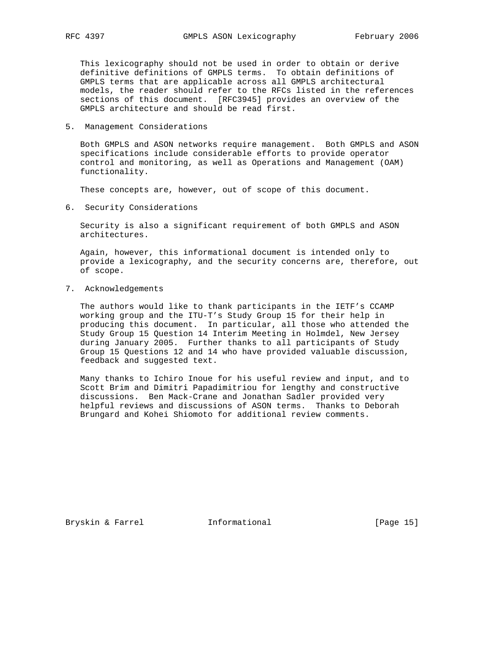This lexicography should not be used in order to obtain or derive definitive definitions of GMPLS terms. To obtain definitions of GMPLS terms that are applicable across all GMPLS architectural models, the reader should refer to the RFCs listed in the references sections of this document. [RFC3945] provides an overview of the GMPLS architecture and should be read first.

5. Management Considerations

 Both GMPLS and ASON networks require management. Both GMPLS and ASON specifications include considerable efforts to provide operator control and monitoring, as well as Operations and Management (OAM) functionality.

These concepts are, however, out of scope of this document.

6. Security Considerations

 Security is also a significant requirement of both GMPLS and ASON architectures.

 Again, however, this informational document is intended only to provide a lexicography, and the security concerns are, therefore, out of scope.

7. Acknowledgements

 The authors would like to thank participants in the IETF's CCAMP working group and the ITU-T's Study Group 15 for their help in producing this document. In particular, all those who attended the Study Group 15 Question 14 Interim Meeting in Holmdel, New Jersey during January 2005. Further thanks to all participants of Study Group 15 Questions 12 and 14 who have provided valuable discussion, feedback and suggested text.

 Many thanks to Ichiro Inoue for his useful review and input, and to Scott Brim and Dimitri Papadimitriou for lengthy and constructive discussions. Ben Mack-Crane and Jonathan Sadler provided very helpful reviews and discussions of ASON terms. Thanks to Deborah Brungard and Kohei Shiomoto for additional review comments.

Bryskin & Farrel **Informational** [Page 15]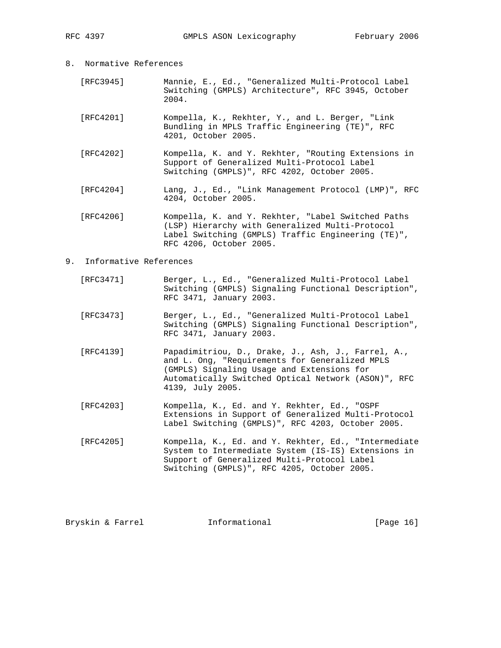- 8. Normative References
	- [RFC3945] Mannie, E., Ed., "Generalized Multi-Protocol Label Switching (GMPLS) Architecture", RFC 3945, October 2004.
	- [RFC4201] Kompella, K., Rekhter, Y., and L. Berger, "Link Bundling in MPLS Traffic Engineering (TE)", RFC 4201, October 2005.
	- [RFC4202] Kompella, K. and Y. Rekhter, "Routing Extensions in Support of Generalized Multi-Protocol Label Switching (GMPLS)", RFC 4202, October 2005.
	- [RFC4204] Lang, J., Ed., "Link Management Protocol (LMP)", RFC 4204, October 2005.
	- [RFC4206] Kompella, K. and Y. Rekhter, "Label Switched Paths (LSP) Hierarchy with Generalized Multi-Protocol Label Switching (GMPLS) Traffic Engineering (TE)", RFC 4206, October 2005.
- 9. Informative References
	- [RFC3471] Berger, L., Ed., "Generalized Multi-Protocol Label Switching (GMPLS) Signaling Functional Description", RFC 3471, January 2003.
	- [RFC3473] Berger, L., Ed., "Generalized Multi-Protocol Label Switching (GMPLS) Signaling Functional Description", RFC 3471, January 2003.
	- [RFC4139] Papadimitriou, D., Drake, J., Ash, J., Farrel, A., and L. Ong, "Requirements for Generalized MPLS (GMPLS) Signaling Usage and Extensions for Automatically Switched Optical Network (ASON)", RFC 4139, July 2005.
	- [RFC4203] Kompella, K., Ed. and Y. Rekhter, Ed., "OSPF Extensions in Support of Generalized Multi-Protocol Label Switching (GMPLS)", RFC 4203, October 2005.
	- [RFC4205] Kompella, K., Ed. and Y. Rekhter, Ed., "Intermediate System to Intermediate System (IS-IS) Extensions in Support of Generalized Multi-Protocol Label Switching (GMPLS)", RFC 4205, October 2005.

Bryskin & Farrel **Informational** [Page 16]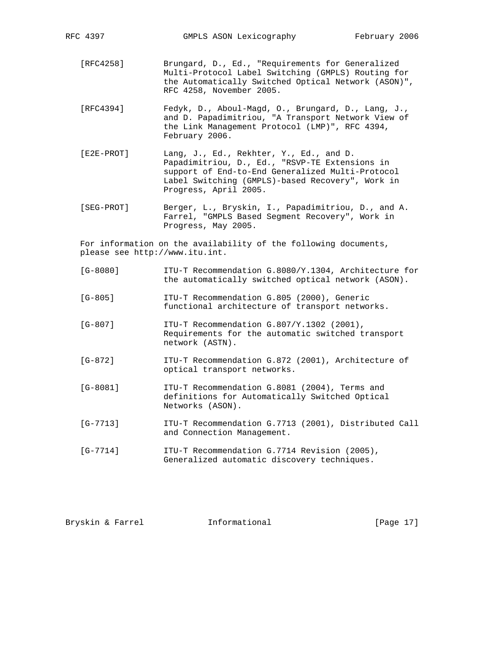- [RFC4258] Brungard, D., Ed., "Requirements for Generalized Multi-Protocol Label Switching (GMPLS) Routing for the Automatically Switched Optical Network (ASON)", RFC 4258, November 2005.
- [RFC4394] Fedyk, D., Aboul-Magd, O., Brungard, D., Lang, J., and D. Papadimitriou, "A Transport Network View of the Link Management Protocol (LMP)", RFC 4394, February 2006.
- [E2E-PROT] Lang, J., Ed., Rekhter, Y., Ed., and D. Papadimitriou, D., Ed., "RSVP-TE Extensions in support of End-to-End Generalized Multi-Protocol Label Switching (GMPLS)-based Recovery", Work in Progress, April 2005.
- [SEG-PROT] Berger, L., Bryskin, I., Papadimitriou, D., and A. Farrel, "GMPLS Based Segment Recovery", Work in Progress, May 2005.

 For information on the availability of the following documents, please see http://www.itu.int.

- [G-8080] ITU-T Recommendation G.8080/Y.1304, Architecture for the automatically switched optical network (ASON).
- [G-805] ITU-T Recommendation G.805 (2000), Generic functional architecture of transport networks.
- [G-807] ITU-T Recommendation G.807/Y.1302 (2001), Requirements for the automatic switched transport network (ASTN).
- [G-872] ITU-T Recommendation G.872 (2001), Architecture of optical transport networks.
- [G-8081] ITU-T Recommendation G.8081 (2004), Terms and definitions for Automatically Switched Optical Networks (ASON).
- [G-7713] ITU-T Recommendation G.7713 (2001), Distributed Call and Connection Management.
- [G-7714] ITU-T Recommendation G.7714 Revision (2005), Generalized automatic discovery techniques.

Bryskin & Farrel **Informational** [Page 17]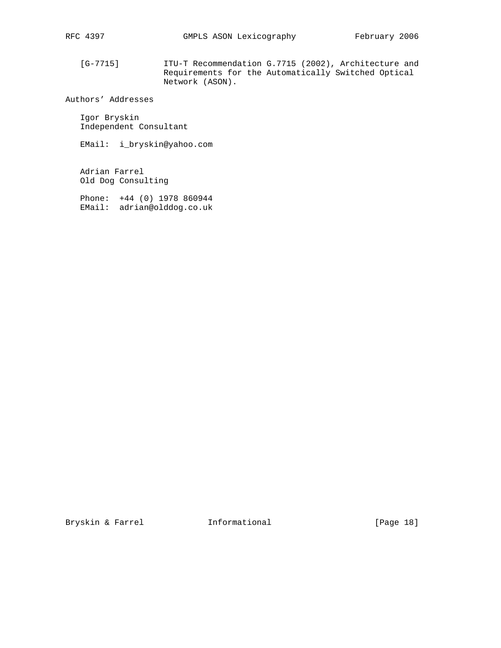[G-7715] ITU-T Recommendation G.7715 (2002), Architecture and Requirements for the Automatically Switched Optical Network (ASON).

Authors' Addresses

 Igor Bryskin Independent Consultant

EMail: i\_bryskin@yahoo.com

 Adrian Farrel Old Dog Consulting

 Phone: +44 (0) 1978 860944 EMail: adrian@olddog.co.uk